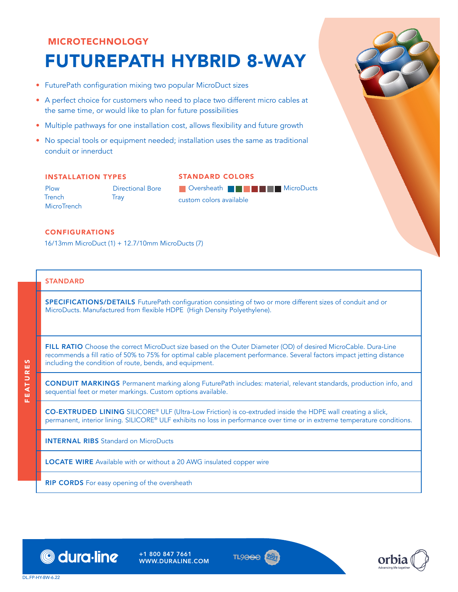# MICROTECHNOLOGY FUTUREPATH HYBRID 8-WAY

- FuturePath configuration mixing two popular MicroDuct sizes
- A perfect choice for customers who need to place two different micro cables at the same time, or would like to plan for future possibilities
- Multiple pathways for one installation cost, allows flexibility and future growth
- No special tools or equipment needed; installation uses the same as traditional conduit or innerduct

### INSTALLATION TYPES

Plow **Trench MicroTrench** 

Directional Bore **Tray** 

**D** Oversheath **BGDSCF MicroDucts** custom colors available

STANDARD COLORS

#### **CONFIGURATIONS**

16/13mm MicroDuct (1) + 12.7/10mm MicroDucts (7)

#### **STANDARD**

SPECIFICATIONS/DETAILS FuturePath configuration consisting of two or more different sizes of conduit and or MicroDucts. Manufactured from flexible HDPE (High Density Polyethylene).

FILL RATIO Choose the correct MicroDuct size based on the Outer Diameter (OD) of desired MicroCable. Dura-Line recommends a fill ratio of 50% to 75% for optimal cable placement performance. Several factors impact jetting distance including the condition of route, bends, and equipment.

CONDUIT MARKINGS Permanent marking along FuturePath includes: material, relevant standards, production info, and sequential feet or meter markings. Custom options available.

CO-EXTRUDED LINING SILICORE® ULF (Ultra-Low Friction) is co-extruded inside the HDPE wall creating a slick, permanent, interior lining. SILICORE® ULF exhibits no loss in performance over time or in extreme temperature conditions.

INTERNAL RIBS Standard on MicroDucts

LOCATE WIRE Available with or without a 20 AWG insulated copper wire

**RIP CORDS** For easy opening of the oversheath



+1 800 847 7661 WWW.DURALINE.COM







**FEATURES** FEATURES